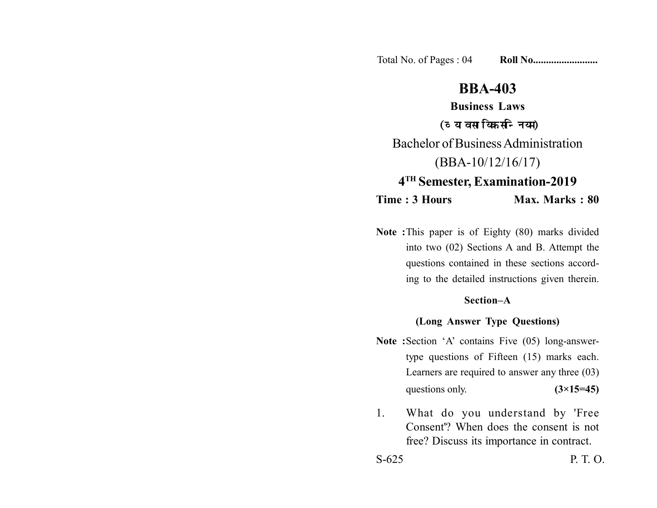Total No. of Pages : 04 **Roll No......................** 

# **BBA-403**

**Business Laws** (व्यावसायिक सन्नियम) Bachelor of Business Administration (BBA-10/12/16/17) **4TH Semester, Examination-2019**

**Time : 3 Hours Max. Marks : 80** 

**Note :**This paper is of Eighty (80) marks divided into two (02) Sections A and B. Attempt the questions contained in these sections according to the detailed instructions given therein.

### **Section–A**

## **(Long Answer Type Questions)**

- Note : Section 'A' contains Five (05) long-answertype questions of Fifteen (15) marks each. Learners are required to answer any three (03) questions only.  $(3\times15=45)$
- 1. What do you understand by 'Free Consent'? When does the consent is not free? Discuss its importance in contract.

S-625 P. T. O.